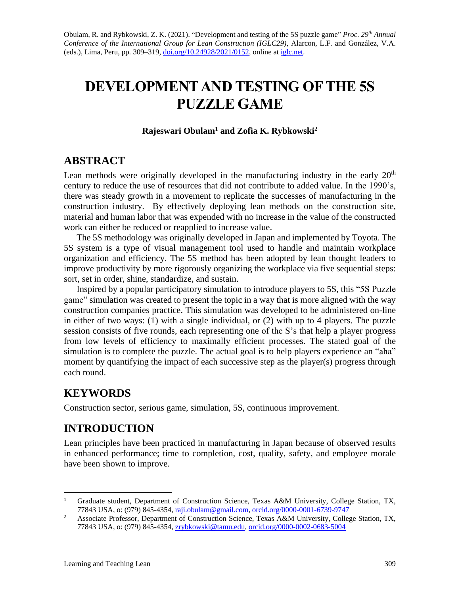Obulam, R. and Rybkowski, Z. K. (2021). "Development and testing of the 5S puzzle game" *Proc. 29th Annual Conference of the International Group for Lean Construction (IGLC29)*, Alarcon, L.F. and González, V.A. (eds.), Lima, Peru, pp. 309–319, [doi.org/10.24928/2021/0152,](https://doi.org/10.24928/2021/0152) online a[t iglc.net.](http://iglc.net/)

# **DEVELOPMENT AND TESTING OF THE 5S PUZZLE GAME**

### **Rajeswari Obulam<sup>1</sup> and Zofia K. Rybkowski<sup>2</sup>**

### **ABSTRACT**

Lean methods were originally developed in the manufacturing industry in the early  $20<sup>th</sup>$ century to reduce the use of resources that did not contribute to added value. In the 1990's, there was steady growth in a movement to replicate the successes of manufacturing in the construction industry. By effectively deploying lean methods on the construction site, material and human labor that was expended with no increase in the value of the constructed work can either be reduced or reapplied to increase value.

The 5S methodology was originally developed in Japan and implemented by Toyota. The 5S system is a type of visual management tool used to handle and maintain workplace organization and efficiency. The 5S method has been adopted by lean thought leaders to improve productivity by more rigorously organizing the workplace via five sequential steps: sort, set in order, shine, standardize, and sustain.

Inspired by a popular participatory simulation to introduce players to 5S, this "5S Puzzle game" simulation was created to present the topic in a way that is more aligned with the way construction companies practice. This simulation was developed to be administered on-line in either of two ways: (1) with a single individual, or (2) with up to 4 players. The puzzle session consists of five rounds, each representing one of the S's that help a player progress from low levels of efficiency to maximally efficient processes. The stated goal of the simulation is to complete the puzzle. The actual goal is to help players experience an "aha" moment by quantifying the impact of each successive step as the player(s) progress through each round.

# **KEYWORDS**

Construction sector, serious game, simulation, 5S, continuous improvement.

# **INTRODUCTION**

Lean principles have been practiced in manufacturing in Japan because of observed results in enhanced performance; time to completion, cost, quality, safety, and employee morale have been shown to improve.

<sup>&</sup>lt;sup>1</sup> Graduate student, Department of Construction Science, Texas A&M University, College Station, TX, 77843 USA, o: (979) 845-4354, [raji.obulam@gmail.com,](mailto:raji.obulam@gmail.com) [orcid.org/0000-0001-6739-9747](https://orcid.org/0000-0001-6739-9747)

<sup>&</sup>lt;sup>2</sup> Associate Professor, Department of Construction Science, Texas A&M University, College Station, TX, 77843 USA, o: (979) 845-4354, [zrybkowski@tamu.edu,](mailto:zrybkowski@tamu.edu) [orcid.org/0000-0002-0683-5004](https://orcid.org/0000-0002-0683-5004)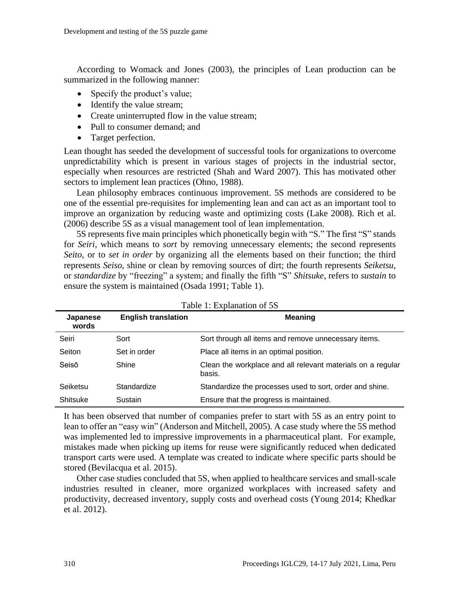According to Womack and Jones (2003), the principles of Lean production can be summarized in the following manner:

- Specify the product's value;
- Identify the value stream;
- Create uninterrupted flow in the value stream;
- Pull to consumer demand: and
- Target perfection.

Lean thought has seeded the development of successful tools for organizations to overcome unpredictability which is present in various stages of projects in the industrial sector, especially when resources are restricted (Shah and Ward 2007). This has motivated other sectors to implement lean practices (Ohno, 1988).

Lean philosophy embraces continuous improvement. 5S methods are considered to be one of the essential pre-requisites for implementing lean and can act as an important tool to improve an organization by reducing waste and optimizing costs (Lake 2008). Rich et al. (2006) describe 5S as a visual management tool of lean implementation.

5S represents five main principles which phonetically begin with "S." The first "S" stands for *Seiri,* which means to *sort* by removing unnecessary elements; the second represents *Seito*, or to *set in order* by organizing all the elements based on their function; the third represents *Seiso*, shine or clean by removing sources of dirt; the fourth represents *Seiketsu*, or *standardize* by "freezing" a system; and finally the fifth "S" *Shitsuke*, refers to *sustain* to ensure the system is maintained (Osada 1991; Table 1).

| Japanese<br>words | <b>English translation</b> | <b>Meaning</b>                                                        |
|-------------------|----------------------------|-----------------------------------------------------------------------|
| Seiri             | Sort                       | Sort through all items and remove unnecessary items.                  |
| Seiton            | Set in order               | Place all items in an optimal position.                               |
| Seisō             | Shine                      | Clean the workplace and all relevant materials on a regular<br>basis. |
| Seiketsu          | Standardize                | Standardize the processes used to sort, order and shine.              |
| Shitsuke          | Sustain                    | Ensure that the progress is maintained.                               |

|  |  | Table 1: Explanation of 5S |  |  |
|--|--|----------------------------|--|--|
|--|--|----------------------------|--|--|

It has been observed that number of companies prefer to start with 5S as an entry point to lean to offer an "easy win" (Anderson and Mitchell, 2005). A case study where the 5S method was implemented led to impressive improvements in a pharmaceutical plant. For example, mistakes made when picking up items for reuse were significantly reduced when dedicated transport carts were used. A template was created to indicate where specific parts should be stored (Bevilacqua et al. 2015).

Other case studies concluded that 5S, when applied to healthcare services and small-scale industries resulted in cleaner, more organized workplaces with increased safety and productivity, decreased inventory, supply costs and overhead costs (Young 2014; Khedkar et al. 2012).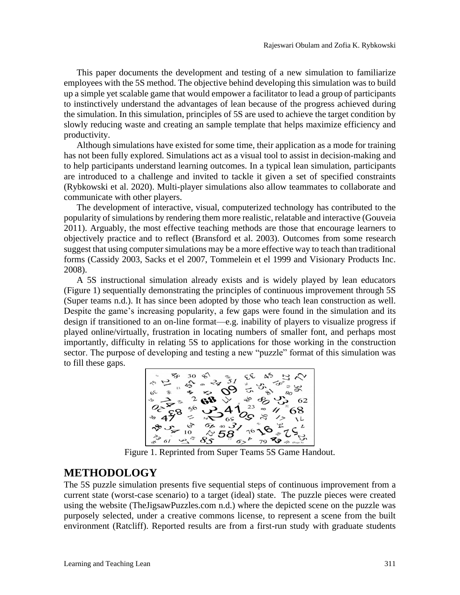This paper documents the development and testing of a new simulation to familiarize employees with the 5S method. The objective behind developing this simulation was to build up a simple yet scalable game that would empower a facilitator to lead a group of participants to instinctively understand the advantages of lean because of the progress achieved during the simulation. In this simulation, principles of 5S are used to achieve the target condition by slowly reducing waste and creating an sample template that helps maximize efficiency and productivity.

Although simulations have existed for some time, their application as a mode for training has not been fully explored. Simulations act as a visual tool to assist in decision-making and to help participants understand learning outcomes. In a typical lean simulation, participants are introduced to a challenge and invited to tackle it given a set of specified constraints (Rybkowski et al. 2020). Multi-player simulations also allow teammates to collaborate and communicate with other players.

The development of interactive, visual, computerized technology has contributed to the popularity of simulations by rendering them more realistic, relatable and interactive (Gouveia 2011). Arguably, the most effective teaching methods are those that encourage learners to objectively practice and to reflect (Bransford et al. 2003). Outcomes from some research suggest that using computer simulations may be a more effective way to teach than traditional forms (Cassidy 2003, Sacks et el 2007, Tommelein et el 1999 and Visionary Products Inc. 2008).

A 5S instructional simulation already exists and is widely played by lean educators (Figure 1) sequentially demonstrating the principles of continuous improvement through 5S (Super teams n.d.). It has since been adopted by those who teach lean construction as well. Despite the game's increasing popularity, a few gaps were found in the simulation and its design if transitioned to an on-line format—e.g. inability of players to visualize progress if played online/virtually, frustration in locating numbers of smaller font, and perhaps most importantly, difficulty in relating 5S to applications for those working in the construction sector. The purpose of developing and testing a new "puzzle" format of this simulation was to fill these gaps.



### **METHODOLOGY**

The 5S puzzle simulation presents five sequential steps of continuous improvement from a current state (worst-case scenario) to a target (ideal) state. The puzzle pieces were created using the website (TheJigsawPuzzles.com n.d.) where the depicted scene on the puzzle was purposely selected, under a creative commons license, to represent a scene from the built environment (Ratcliff). Reported results are from a first-run study with graduate students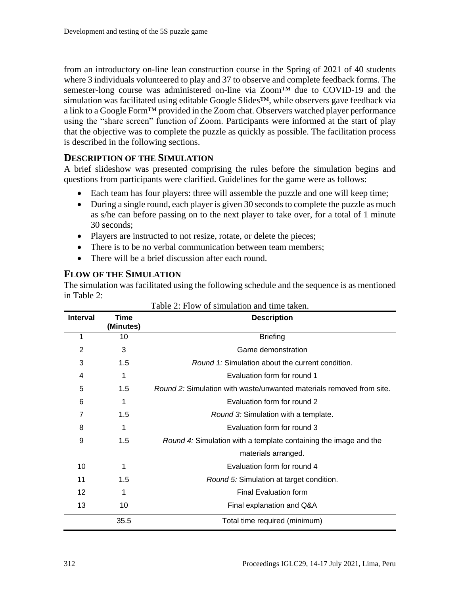from an introductory on-line lean construction course in the Spring of 2021 of 40 students where 3 individuals volunteered to play and 37 to observe and complete feedback forms. The semester-long course was administered on-line via Zoom™ due to COVID-19 and the simulation was facilitated using editable Google Slides<sup>™</sup>, while observers gave feedback via a link to a Google Form™ provided in the Zoom chat. Observers watched player performance using the "share screen" function of Zoom. Participants were informed at the start of play that the objective was to complete the puzzle as quickly as possible. The facilitation process is described in the following sections.

#### **DESCRIPTION OF THE SIMULATION**

A brief slideshow was presented comprising the rules before the simulation begins and questions from participants were clarified. Guidelines for the game were as follows:

- Each team has four players: three will assemble the puzzle and one will keep time;
- During a single round, each player is given 30 seconds to complete the puzzle as much as s/he can before passing on to the next player to take over, for a total of 1 minute 30 seconds;
- Players are instructed to not resize, rotate, or delete the pieces;
- There is to be no verbal communication between team members;
- There will be a brief discussion after each round.

#### **FLOW OF THE SIMULATION**

The simulation was facilitated using the following schedule and the sequence is as mentioned in Table 2:

| Table 2: Flow of simulation and time taken. |                   |                                                                             |  |
|---------------------------------------------|-------------------|-----------------------------------------------------------------------------|--|
| <b>Interval</b>                             | Time<br>(Minutes) | <b>Description</b>                                                          |  |
| 1                                           | 10                | <b>Briefing</b>                                                             |  |
| $\overline{2}$                              | 3                 | Game demonstration                                                          |  |
| 3                                           | 1.5               | <i>Round 1:</i> Simulation about the current condition.                     |  |
| 4                                           | 1                 | Evaluation form for round 1                                                 |  |
| 5                                           | 1.5               | <i>Round 2:</i> Simulation with waste/unwanted materials removed from site. |  |
| 6                                           | 1                 | Evaluation form for round 2                                                 |  |
| 7                                           | 1.5               | Round 3: Simulation with a template.                                        |  |
| 8                                           | 1                 | Evaluation form for round 3                                                 |  |
| 9                                           | 1.5               | Round 4: Simulation with a template containing the image and the            |  |
|                                             |                   | materials arranged.                                                         |  |
| 10                                          | 1                 | Evaluation form for round 4                                                 |  |
| 11                                          | 1.5               | Round 5: Simulation at target condition.                                    |  |
| 12                                          | 1                 | Final Evaluation form                                                       |  |
| 13                                          | 10                | Final explanation and Q&A                                                   |  |
|                                             | 35.5              | Total time required (minimum)                                               |  |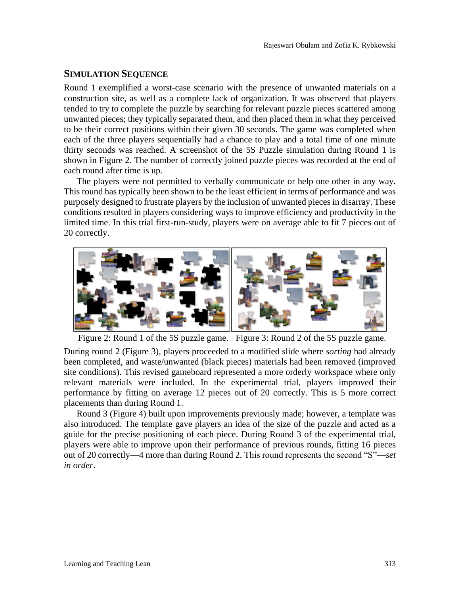#### **SIMULATION SEQUENCE**

Round 1 exemplified a worst-case scenario with the presence of unwanted materials on a construction site, as well as a complete lack of organization. It was observed that players tended to try to complete the puzzle by searching for relevant puzzle pieces scattered among unwanted pieces; they typically separated them, and then placed them in what they perceived to be their correct positions within their given 30 seconds. The game was completed when each of the three players sequentially had a chance to play and a total time of one minute thirty seconds was reached. A screenshot of the 5S Puzzle simulation during Round 1 is shown in Figure 2. The number of correctly joined puzzle pieces was recorded at the end of each round after time is up.

The players were not permitted to verbally communicate or help one other in any way. This round has typically been shown to be the least efficient in terms of performance and was purposely designed to frustrate players by the inclusion of unwanted pieces in disarray. These conditions resulted in players considering ways to improve efficiency and productivity in the limited time. In this trial first-run-study, players were on average able to fit 7 pieces out of 20 correctly.



Figure 2: Round 1 of the 5S puzzle game. Figure 3: Round 2 of the 5S puzzle game.

During round 2 (Figure 3), players proceeded to a modified slide where *sorting* had already been completed, and waste/unwanted (black pieces) materials had been removed (improved site conditions). This revised gameboard represented a more orderly workspace where only relevant materials were included. In the experimental trial, players improved their performance by fitting on average 12 pieces out of 20 correctly. This is 5 more correct placements than during Round 1.

Round 3 (Figure 4) built upon improvements previously made; however, a template was also introduced. The template gave players an idea of the size of the puzzle and acted as a guide for the precise positioning of each piece. During Round 3 of the experimental trial, players were able to improve upon their performance of previous rounds, fitting 16 pieces out of 20 correctly—4 more than during Round 2. This round represents the second "S"—*set in order*.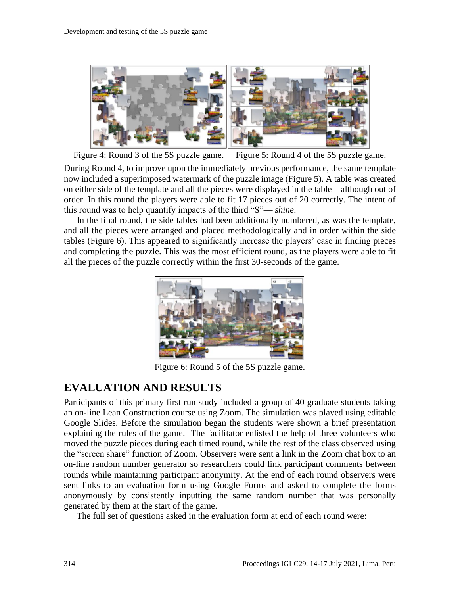

Figure 4: Round 3 of the 5S puzzle game. Figure 5: Round 4 of the 5S puzzle game.

During Round 4, to improve upon the immediately previous performance, the same template now included a superimposed watermark of the puzzle image (Figure 5). A table was created on either side of the template and all the pieces were displayed in the table—although out of order. In this round the players were able to fit 17 pieces out of 20 correctly. The intent of this round was to help quantify impacts of the third "S"— *shine*.

In the final round, the side tables had been additionally numbered, as was the template, and all the pieces were arranged and placed methodologically and in order within the side tables (Figure 6). This appeared to significantly increase the players' ease in finding pieces and completing the puzzle. This was the most efficient round, as the players were able to fit all the pieces of the puzzle correctly within the first 30-seconds of the game.



Figure 6: Round 5 of the 5S puzzle game.

# **EVALUATION AND RESULTS**

Participants of this primary first run study included a group of 40 graduate students taking an on-line Lean Construction course using Zoom. The simulation was played using editable Google Slides. Before the simulation began the students were shown a brief presentation explaining the rules of the game. The facilitator enlisted the help of three volunteers who moved the puzzle pieces during each timed round, while the rest of the class observed using the "screen share" function of Zoom. Observers were sent a link in the Zoom chat box to an on-line random number generator so researchers could link participant comments between rounds while maintaining participant anonymity. At the end of each round observers were sent links to an evaluation form using Google Forms and asked to complete the forms anonymously by consistently inputting the same random number that was personally generated by them at the start of the game.

The full set of questions asked in the evaluation form at end of each round were: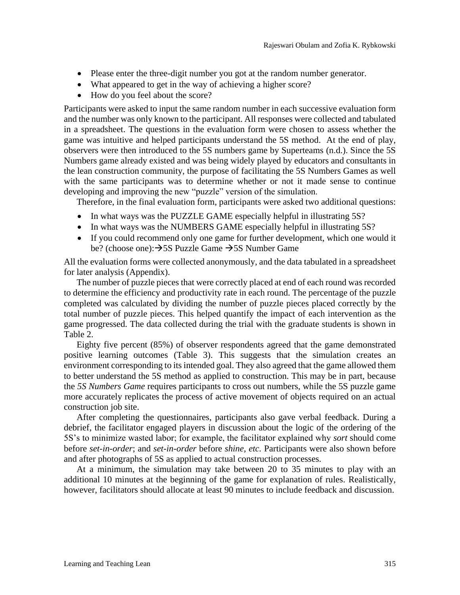- Please enter the three-digit number you got at the random number generator.
- What appeared to get in the way of achieving a higher score?
- How do you feel about the score?

Participants were asked to input the same random number in each successive evaluation form and the number was only known to the participant. All responses were collected and tabulated in a spreadsheet. The questions in the evaluation form were chosen to assess whether the game was intuitive and helped participants understand the 5S method. At the end of play, observers were then introduced to the 5S numbers game by Superteams (n.d.). Since the 5S Numbers game already existed and was being widely played by educators and consultants in the lean construction community, the purpose of facilitating the 5S Numbers Games as well with the same participants was to determine whether or not it made sense to continue developing and improving the new "puzzle" version of the simulation.

Therefore, in the final evaluation form, participants were asked two additional questions:

- In what ways was the PUZZLE GAME especially helpful in illustrating 5S?
- In what ways was the NUMBERS GAME especially helpful in illustrating 5S?
- If you could recommend only one game for further development, which one would it be? (choose one):  $\rightarrow$  5S Puzzle Game  $\rightarrow$  5S Number Game

All the evaluation forms were collected anonymously, and the data tabulated in a spreadsheet for later analysis (Appendix).

The number of puzzle pieces that were correctly placed at end of each round was recorded to determine the efficiency and productivity rate in each round. The percentage of the puzzle completed was calculated by dividing the number of puzzle pieces placed correctly by the total number of puzzle pieces. This helped quantify the impact of each intervention as the game progressed. The data collected during the trial with the graduate students is shown in Table 2.

Eighty five percent (85%) of observer respondents agreed that the game demonstrated positive learning outcomes (Table 3). This suggests that the simulation creates an environment corresponding to its intended goal. They also agreed that the game allowed them to better understand the 5S method as applied to construction. This may be in part, because the *5S Numbers Game* requires participants to cross out numbers, while the 5S puzzle game more accurately replicates the process of active movement of objects required on an actual construction job site.

After completing the questionnaires, participants also gave verbal feedback. During a debrief, the facilitator engaged players in discussion about the logic of the ordering of the 5S's to minimize wasted labor; for example, the facilitator explained why *sort* should come before *set-in-order*; and *set-in-order* before *shine, etc.* Participants were also shown before and after photographs of 5S as applied to actual construction processes.

At a minimum, the simulation may take between 20 to 35 minutes to play with an additional 10 minutes at the beginning of the game for explanation of rules. Realistically, however, facilitators should allocate at least 90 minutes to include feedback and discussion.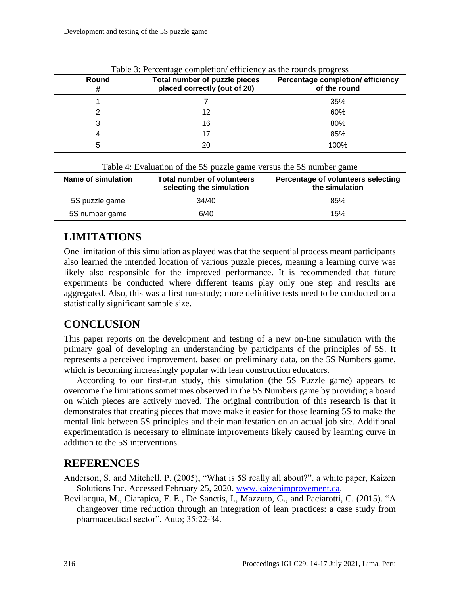| Round<br># | Total number of puzzle pieces<br>placed correctly (out of 20) | Percentage completion/efficiency<br>of the round |
|------------|---------------------------------------------------------------|--------------------------------------------------|
|            |                                                               | 35%                                              |
|            | 12                                                            | 60%                                              |
| 3          | 16                                                            | 80%                                              |
| 4          | 17                                                            | 85%                                              |
| 5          | 20                                                            | 100%                                             |

|  | Table 3: Percentage completion/ efficiency as the rounds progress |  |  |
|--|-------------------------------------------------------------------|--|--|
|  |                                                                   |  |  |

| Table 4: Evaluation of the 5S puzzle game versus the 5S number game |                                                               |                                                      |  |  |
|---------------------------------------------------------------------|---------------------------------------------------------------|------------------------------------------------------|--|--|
| Name of simulation                                                  | <b>Total number of volunteers</b><br>selecting the simulation | Percentage of volunteers selecting<br>the simulation |  |  |
| 5S puzzle game                                                      | 34/40                                                         | 85%                                                  |  |  |
| 5S number game                                                      | 6/40                                                          | 15%                                                  |  |  |

# **LIMITATIONS**

One limitation of this simulation as played was that the sequential process meant participants also learned the intended location of various puzzle pieces, meaning a learning curve was likely also responsible for the improved performance. It is recommended that future experiments be conducted where different teams play only one step and results are aggregated. Also, this was a first run-study; more definitive tests need to be conducted on a statistically significant sample size.

# **CONCLUSION**

This paper reports on the development and testing of a new on-line simulation with the primary goal of developing an understanding by participants of the principles of 5S. It represents a perceived improvement, based on preliminary data, on the 5S Numbers game, which is becoming increasingly popular with lean construction educators.

According to our first-run study, this simulation (the 5S Puzzle game) appears to overcome the limitations sometimes observed in the 5S Numbers game by providing a board on which pieces are actively moved. The original contribution of this research is that it demonstrates that creating pieces that move make it easier for those learning 5S to make the mental link between 5S principles and their manifestation on an actual job site. Additional experimentation is necessary to eliminate improvements likely caused by learning curve in addition to the 5S interventions.

# **REFERENCES**

- Anderson, S. and Mitchell, P. (2005), "What is 5S really all about?", a white paper, Kaizen Solutions Inc. Accessed February 25, 2020. [www.kaizenimprovement.ca.](http://www.kaizenimprovement.ca/)
- Bevilacqua, M., Ciarapica, F. E., De Sanctis, I., Mazzuto, G., and Paciarotti, C. (2015). "A changeover time reduction through an integration of lean practices: a case study from pharmaceutical sector". Auto; 35:22-34.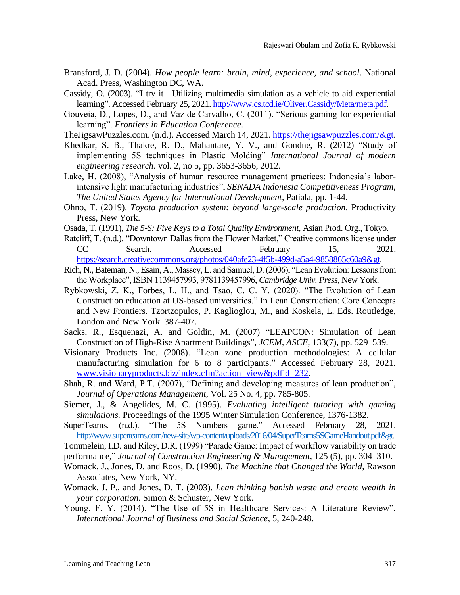- Bransford, J. D. (2004). *How people learn: brain, mind, experience, and school*. National Acad. Press, Washington DC, WA.
- Cassidy, O. (2003). "I try it—Utilizing multimedia simulation as a vehicle to aid experiential learning". Accessed February 25, 2021. [http://www.cs.tcd.ie/Oliver.Cassidy/Meta/meta.pdf.](http://www.cs.tcd.ie/Oliver.Cassidy/Meta/meta.pdf)
- Gouveia, D., Lopes, D., and Vaz de Carvalho, C. (2011). "Serious gaming for experiential learning". *Frontiers in Education Conference*.
- TheJigsawPuzzles.com. (n.d.). Accessed March 14, 2021. [https://thejigsawpuzzles.com/&gt.](https://thejigsawpuzzles.com/>)
- Khedkar, S. B., Thakre, R. D., Mahantare, Y. V., and Gondne, R. (2012) "Study of implementing 5S techniques in Plastic Molding" *International Journal of modern engineering research*. vol. 2, no 5, pp. 3653-3656, 2012.
- Lake, H. (2008), "Analysis of human resource management practices: Indonesia's laborintensive light manufacturing industries", *SENADA Indonesia Competitiveness Program, The United States Agency for International Development*, Patiala, pp. 1-44.
- Ohno, T. (2019). *Toyota production system: beyond large-scale production*. Productivity Press, New York.
- Osada, T. (1991), *The 5-S: Five Keys to a Total Quality Environment*, Asian Prod. Org., Tokyo.
- Ratcliff, T. (n.d.). "Downtown Dallas from the Flower Market," Creative commons license under CC Search. Accessed February 15, 2021. [https://search.creativecommons.org/photos/040afe23-4f5b-499d-a5a4-9858865c60a9&gt.](https://search.creativecommons.org/photos/040afe23-4f5b-499d-a5a4-9858865c60a9>)
- Rich, N., Bateman, N., Esain, A., Massey, L. and Samuel, D. (2006), "Lean Evolution: Lessons from the Workplace", ISBN 1139457993, 9781139457996, *Cambridge Univ. Press*, New York.
- Rybkowski, Z. K., Forbes, L. H., and Tsao, C. C. Y. (2020). "The Evolution of Lean Construction education at US-based universities." In Lean Construction: Core Concepts and New Frontiers. Tzortzopulos, P. Kaglioglou, M., and Koskela, L. Eds. Routledge, London and New York. 387-407.
- Sacks, R., Esquenazi, A. and Goldin, M. (2007) "LEAPCON: Simulation of Lean Construction of High-Rise Apartment Buildings", *JCEM, ASCE*, 133(7), pp. 529–539.
- Visionary Products Inc. (2008). "Lean zone production methodologies: A cellular manufacturing simulation for 6 to 8 participants." Accessed February 28, 2021. [www.visionaryproducts.biz/index.cfm?action=view&pdfid=232.](http://www.visionaryproducts.biz/index.cfm?action=view&pdfid=232)
- Shah, R. and Ward, P.T. (2007), "Defining and developing measures of lean production", *Journal of Operations Management*, Vol. 25 No. 4, pp. 785-805.
- Siemer, J., & Angelides, M. C. (1995). *Evaluating intelligent tutoring with gaming simulations.* Proceedings of the 1995 Winter Simulation Conference, 1376-1382.
- SuperTeams. (n.d.). "The 5S Numbers game." Accessed February 28, 2021. [http://www.superteams.com/new-site/wp-content/uploads/2016/04/SuperTeams5SGameHandout.pdf&gt.](http://www.superteams.com/new-site/wp-content/uploads/2016/04/SuperTeams5SGameHandout.pdf>)

Tommelein, I.D. and Riley, D.R. (1999) "Parade Game: Impact of workflow variability on trade

performance," *Journal of Construction Engineering & Management*, 125 (5), pp. 304–310.

- Womack, J., Jones, D. and Roos, D. (1990), *The Machine that Changed the World*, Rawson Associates, New York, NY.
- Womack, J. P., and Jones, D. T. (2003). *Lean thinking banish waste and create wealth in your corporation*. Simon & Schuster, New York.
- Young, F. Y. (2014). "The Use of 5S in Healthcare Services: A Literature Review". *International Journal of Business and Social Science*, 5, 240-248.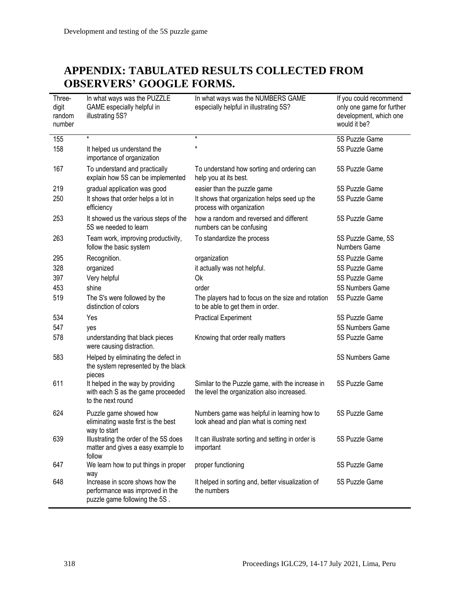# **APPENDIX: TABULATED RESULTS COLLECTED FROM OBSERVERS' GOOGLE FORMS.**

| Three-<br>digit<br>random<br>number | In what ways was the PUZZLE<br>GAME especially helpful in<br>illustrating 5S?                       | In what ways was the NUMBERS GAME<br>especially helpful in illustrating 5S?                    | If you could recommend<br>only one game for further<br>development, which one<br>would it be? |
|-------------------------------------|-----------------------------------------------------------------------------------------------------|------------------------------------------------------------------------------------------------|-----------------------------------------------------------------------------------------------|
| 155                                 | $\star$                                                                                             | $\star$                                                                                        | 5S Puzzle Game                                                                                |
| 158                                 | It helped us understand the<br>importance of organization                                           | $^\star$                                                                                       | 5S Puzzle Game                                                                                |
| 167                                 | To understand and practically<br>explain how 5S can be implemented                                  | To understand how sorting and ordering can<br>help you at its best.                            | 5S Puzzle Game                                                                                |
| 219                                 | gradual application was good                                                                        | easier than the puzzle game                                                                    | 5S Puzzle Game                                                                                |
| 250                                 | It shows that order helps a lot in<br>efficiency                                                    | It shows that organization helps seed up the<br>process with organization                      | 5S Puzzle Game                                                                                |
| 253                                 | It showed us the various steps of the<br>5S we needed to learn                                      | how a random and reversed and different<br>numbers can be confusing                            | 5S Puzzle Game                                                                                |
| 263                                 | Team work, improving productivity,<br>follow the basic system                                       | To standardize the process                                                                     | 5S Puzzle Game, 5S<br><b>Numbers Game</b>                                                     |
| 295                                 | Recognition.                                                                                        | organization                                                                                   | 5S Puzzle Game                                                                                |
| 328                                 | organized                                                                                           | it actually was not helpful.                                                                   | 5S Puzzle Game                                                                                |
| 397                                 | Very helpful                                                                                        | <b>Ok</b>                                                                                      | 5S Puzzle Game                                                                                |
| 453                                 | shine                                                                                               | order                                                                                          | 5S Numbers Game                                                                               |
| 519                                 | The S's were followed by the<br>distinction of colors                                               | The players had to focus on the size and rotation<br>to be able to get them in order.          | 5S Puzzle Game                                                                                |
| 534                                 | Yes                                                                                                 | <b>Practical Experiment</b>                                                                    | 5S Puzzle Game                                                                                |
| 547                                 | yes                                                                                                 |                                                                                                | 5S Numbers Game                                                                               |
| 578                                 | understanding that black pieces<br>were causing distraction.                                        | Knowing that order really matters                                                              | 5S Puzzle Game                                                                                |
| 583                                 | Helped by eliminating the defect in<br>the system represented by the black<br>pieces                |                                                                                                | 5S Numbers Game                                                                               |
| 611                                 | It helped in the way by providing<br>with each S as the game proceeded<br>to the next round         | Similar to the Puzzle game, with the increase in<br>the level the organization also increased. | 5S Puzzle Game                                                                                |
| 624                                 | Puzzle game showed how<br>eliminating waste first is the best<br>way to start                       | Numbers game was helpful in learning how to<br>look ahead and plan what is coming next         | 5S Puzzle Game                                                                                |
| 639                                 | Illustrating the order of the 5S does<br>matter and gives a easy example to<br>follow               | It can illustrate sorting and setting in order is<br>important                                 | 5S Puzzle Game                                                                                |
| 647                                 | We learn how to put things in proper<br>way                                                         | proper functioning                                                                             | 5S Puzzle Game                                                                                |
| 648                                 | Increase in score shows how the<br>performance was improved in the<br>puzzle game following the 5S. | It helped in sorting and, better visualization of<br>the numbers                               | 5S Puzzle Game                                                                                |